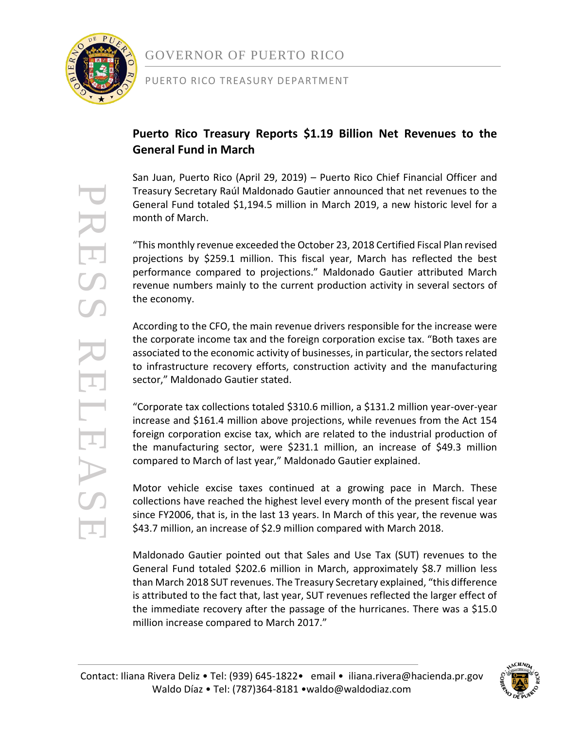

### GOVERNOR OF PUERTO RICO

#### PUERTO RICO TREASURY DEPARTMENT

### **Puerto Rico Treasury Reports \$1.19 Billion Net Revenues to the General Fund in March**

San Juan, Puerto Rico (April 29, 2019) – Puerto Rico Chief Financial Officer and Treasury Secretary Raúl Maldonado Gautier announced that net revenues to the General Fund totaled \$1,194.5 million in March 2019, a new historic level for a month of March.

"This monthly revenue exceeded the October 23, 2018 Certified Fiscal Plan revised projections by \$259.1 million. This fiscal year, March has reflected the best performance compared to projections." Maldonado Gautier attributed March revenue numbers mainly to the current production activity in several sectors of the economy.

According to the CFO, the main revenue drivers responsible for the increase were the corporate income tax and the foreign corporation excise tax. "Both taxes are associated to the economic activity of businesses, in particular, the sectors related to infrastructure recovery efforts, construction activity and the manufacturing sector," Maldonado Gautier stated.

"Corporate tax collections totaled \$310.6 million, a \$131.2 million year-over-year increase and \$161.4 million above projections, while revenues from the Act 154 foreign corporation excise tax, which are related to the industrial production of the manufacturing sector, were \$231.1 million, an increase of \$49.3 million compared to March of last year," Maldonado Gautier explained.

Motor vehicle excise taxes continued at a growing pace in March. These collections have reached the highest level every month of the present fiscal year since FY2006, that is, in the last 13 years. In March of this year, the revenue was \$43.7 million, an increase of \$2.9 million compared with March 2018.

Maldonado Gautier pointed out that Sales and Use Tax (SUT) revenues to the General Fund totaled \$202.6 million in March, approximately \$8.7 million less than March 2018 SUT revenues. The Treasury Secretary explained, "this difference is attributed to the fact that, last year, SUT revenues reflected the larger effect of the immediate recovery after the passage of the hurricanes. There was a \$15.0 million increase compared to March 2017."



PRESS RELEASE RES RELEAS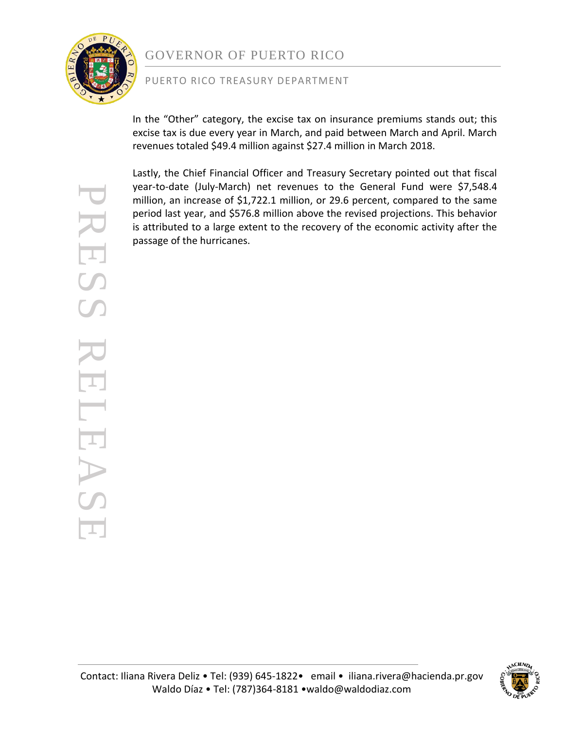

## GOVERNOR OF PUERTO RICO

#### PUERTO RICO TREASURY DEPARTMENT

In the "Other" category, the excise tax on insurance premiums stands out; this excise tax is due every year in March, and paid between March and April. March revenues totaled \$49.4 million against \$27.4 million in March 2018.

Lastly, the Chief Financial Officer and Treasury Secretary pointed out that fiscal year-to-date (July-March) net revenues to the General Fund were \$7,548.4 million, an increase of \$1,722.1 million, or 29.6 percent, compared to the same period last year, and \$576.8 million above the revised projections. This behavior is attributed to a large extent to the recovery of the economic activity after the passage of the hurricanes.

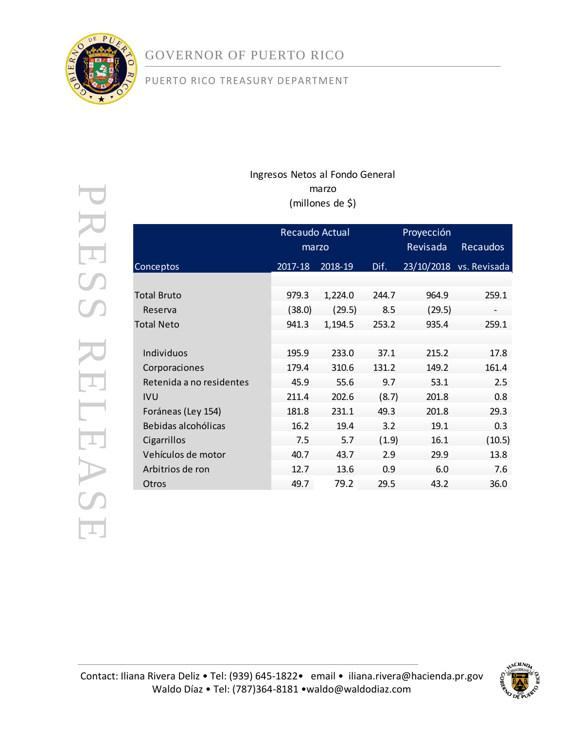

# GOVERNOR OF PUERTO RICO

### PUERTO RICO TREASURY DEPARTMENT

### Ingresos Netos al Fondo General marzo (millones de \$)

|                          | Recaudo Actual<br>marzo |         |       | Proyección<br>Revisada | <b>Recaudos</b>         |
|--------------------------|-------------------------|---------|-------|------------------------|-------------------------|
| Conceptos                | 2017-18                 | 2018-19 | Dif.  |                        | 23/10/2018 vs. Revisada |
|                          |                         |         |       |                        |                         |
| Total Bruto              | 979.3                   | 1,224.0 | 244.7 | 964.9                  | 259.1                   |
| Reserva                  | (38.0)                  | (29.5)  | 8.5   | (29.5)                 | $\qquad \qquad -$       |
| Total Neto               | 941.3                   | 1,194.5 | 253.2 | 935.4                  | 259.1                   |
|                          |                         |         |       |                        |                         |
| Individuos               | 195.9                   | 233.0   | 37.1  | 215.2                  | 17.8                    |
| Corporaciones            | 179.4                   | 310.6   | 131.2 | 149.2                  | 161.4                   |
| Retenida a no residentes | 45.9                    | 55.6    | 9.7   | 53.1                   | 2.5                     |
| <b>IVU</b>               | 211.4                   | 202.6   | (8.7) | 201.8                  | 0.8                     |
| Foráneas (Ley 154)       | 181.8                   | 231.1   | 49.3  | 201.8                  | 29.3                    |
| Bebidas alcohólicas      | 16.2                    | 19.4    | 3.2   | 19.1                   | 0.3                     |
| Cigarrillos              | 7.5                     | 5.7     | (1.9) | 16.1                   | (10.5)                  |
| Vehículos de motor       | 40.7                    | 43.7    | 2.9   | 29.9                   | 13.8                    |
| Arbitrios de ron         | 12.7                    | 13.6    | 0.9   | 6.0                    | 7.6                     |
| Otros                    | 49.7                    | 79.2    | 29.5  | 43.2                   | 36.0                    |